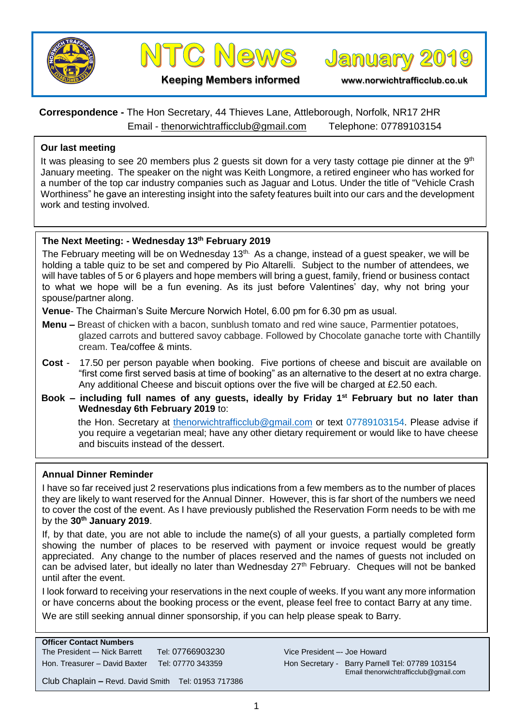



**January 2019** 

**Keeping Members informed www.norwichtrafficclub.co.uk**

# **Correspondence -** The Hon Secretary, 44 Thieves Lane, Attleborough, Norfolk, NR17 2HR Email - [thenorwichtrafficclub@gmail.com](mailto:thenorwichtrafficclub@gmail.com) Telephone: 07789103154

### **Our last meeting**

It was pleasing to see 20 members plus 2 guests sit down for a very tasty cottage pie dinner at the  $9<sup>th</sup>$ January meeting. The speaker on the night was Keith Longmore, a retired engineer who has worked for a number of the top car industry companies such as Jaguar and Lotus. Under the title of "Vehicle Crash Worthiness" he gave an interesting insight into the safety features built into our cars and the development work and testing involved.

### **The Next Meeting: - Wednesday 13th February 2019**

The February meeting will be on Wednesday  $13<sup>th</sup>$ . As a change, instead of a guest speaker, we will be holding a table quiz to be set and compered by Pio Altarelli. Subject to the number of attendees, we will have tables of 5 or 6 players and hope members will bring a guest, family, friend or business contact to what we hope will be a fun evening. As its just before Valentines' day, why not bring your spouse/partner along.

**Venue**- The Chairman's Suite Mercure Norwich Hotel, 6.00 pm for 6.30 pm as usual.

- **Menu –** Breast of chicken with a bacon, sunblush tomato and red wine sauce, Parmentier potatoes, glazed carrots and buttered savoy cabbage. Followed by Chocolate ganache torte with Chantilly cream. Tea/coffee & mints.
- **Cost**  17.50 per person payable when booking. Five portions of cheese and biscuit are available on "first come first served basis at time of booking" as an alternative to the desert at no extra charge. Any additional Cheese and biscuit options over the five will be charged at £2.50 each.
- **Book – including full names of any guests, ideally by Friday 1st February but no later than Wednesday 6th February 2019** to:

the Hon. Secretary at [thenorwichtrafficclub@gmail.com](mailto:thenorwichtrafficclub@gmail.com) or text 07789103154. Please advise if you require a vegetarian meal; have any other dietary requirement or would like to have cheese and biscuits instead of the dessert.

#### **Annual Dinner Reminder**

I have so far received just 2 reservations plus indications from a few members as to the number of places they are likely to want reserved for the Annual Dinner. However, this is far short of the numbers we need to cover the cost of the event. As I have previously published the Reservation Form needs to be with me by the **30th January 2019**.

If, by that date, you are not able to include the name(s) of all your guests, a partially completed form showing the number of places to be reserved with payment or invoice request would be greatly appreciated. Any change to the number of places reserved and the names of guests not included on can be advised later, but ideally no later than Wednesday 27<sup>th</sup> February. Cheques will not be banked until after the event.

I look forward to receiving your reservations in the next couple of weeks. If you want any more information or have concerns about the booking process or the event, please feel free to contact Barry at any time. We are still seeking annual dinner sponsorship, if you can help please speak to Barry.

# **Officer Contact Numbers**

The President –- Nick Barrett Tel: 07766903230 Vice President –- Joe Howard Hon. Treasurer – David Baxter Tel: 07770 343359 Hon Secretary - Barry Parnell Tel: 07789 103154

Email thenorwichtrafficclub@gmail.com

Club Chaplain **–** Revd. David Smith Tel: 01953 717386